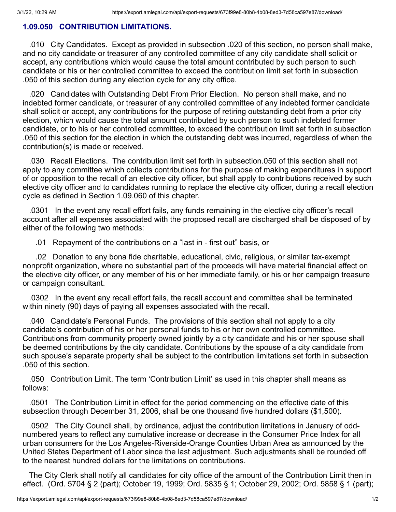## **1.09.050 CONTRIBUTION LIMITATIONS.**

.010 City Candidates. Except as provided in subsection .020 of this section, no person shall make, and no city candidate or treasurer of any controlled committee of any city candidate shall solicit or accept, any contributions which would cause the total amount contributed by such person to such candidate or his or her controlled committee to exceed the contribution limit set forth in subsection .050 of this section during any election cycle for any city office.

.020 Candidates with Outstanding Debt From Prior Election. No person shall make, and no indebted former candidate, or treasurer of any controlled committee of any indebted former candidate shall solicit or accept, any contributions for the purpose of retiring outstanding debt from a prior city election, which would cause the total amount contributed by such person to such indebted former candidate, or to his or her controlled committee, to exceed the contribution limit set forth in subsection .050 of this section for the election in which the outstanding debt was incurred, regardless of when the contribution(s) is made or received.

.030 Recall Elections. The contribution limit set forth in subsection.050 of this section shall not apply to any committee which collects contributions for the purpose of making expenditures in support of or opposition to the recall of an elective city officer, but shall apply to contributions received by such elective city officer and to candidates running to replace the elective city officer, during a recall election cycle as defined in Section 1.09.060 of this chapter.

.0301 In the event any recall effort fails, any funds remaining in the elective city officer's recall account after all expenses associated with the proposed recall are discharged shall be disposed of by either of the following two methods:

.01 Repayment of the contributions on a "last in - first out" basis, or

.02 Donation to any bona fide charitable, educational, civic, religious, or similar tax-exempt nonprofit organization, where no substantial part of the proceeds will have material financial effect on the elective city officer, or any member of his or her immediate family, or his or her campaign treasure or campaign consultant.

.0302 In the event any recall effort fails, the recall account and committee shall be terminated within ninety (90) days of paying all expenses associated with the recall.

.040 Candidate's Personal Funds. The provisions of this section shall not apply to a city candidate's contribution of his or her personal funds to his or her own controlled committee. Contributions from community property owned jointly by a city candidate and his or her spouse shall be deemed contributions by the city candidate. Contributions by the spouse of a city candidate from such spouse's separate property shall be subject to the contribution limitations set forth in subsection .050 of this section.

.050 Contribution Limit. The term 'Contribution Limit' as used in this chapter shall means as follows:

.0501 The Contribution Limit in effect for the period commencing on the effective date of this subsection through December 31, 2006, shall be one thousand five hundred dollars (\$1,500).

.0502 The City Council shall, by ordinance, adjust the contribution limitations in January of oddnumbered years to reflect any cumulative increase or decrease in the Consumer Price Index for all urban consumers for the Los Angeles-Riverside-Orange Counties Urban Area as announced by the United States Department of Labor since the last adjustment. Such adjustments shall be rounded off to the nearest hundred dollars for the limitations on contributions.

The City Clerk shall notify all candidates for city office of the amount of the Contribution Limit then in effect. (Ord. 5704 § 2 (part); October 19, 1999; Ord. 5835 § 1; October 29, 2002; Ord. 5858 § 1 (part);